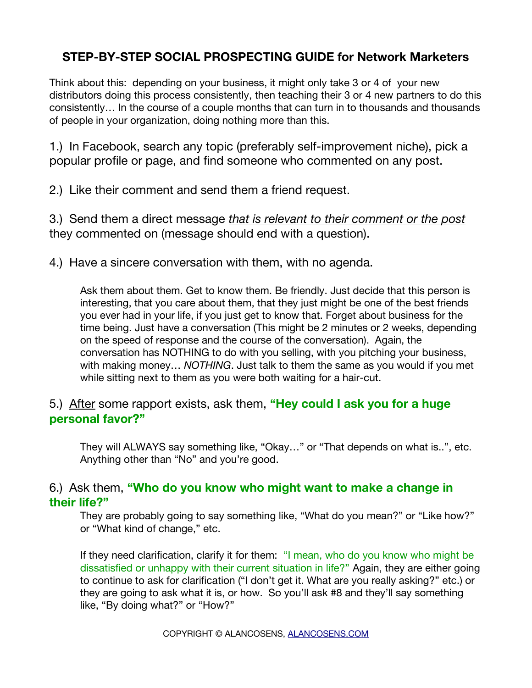# **STEP-BY-STEP SOCIAL PROSPECTING GUIDE for Network Marketers**

Think about this: depending on your business, it might only take 3 or 4 of your new distributors doing this process consistently, then teaching their 3 or 4 new partners to do this consistently… In the course of a couple months that can turn in to thousands and thousands of people in your organization, doing nothing more than this.

1.) In Facebook, search any topic (preferably self-improvement niche), pick a popular profile or page, and find someone who commented on any post.

2.) Like their comment and send them a friend request.

3.) Send them a direct message *that is relevant to their comment or the post* they commented on (message should end with a question).

4.) Have a sincere conversation with them, with no agenda.

Ask them about them. Get to know them. Be friendly. Just decide that this person is interesting, that you care about them, that they just might be one of the best friends you ever had in your life, if you just get to know that. Forget about business for the time being. Just have a conversation (This might be 2 minutes or 2 weeks, depending on the speed of response and the course of the conversation). Again, the conversation has NOTHING to do with you selling, with you pitching your business, with making money… *NOTHING*. Just talk to them the same as you would if you met while sitting next to them as you were both waiting for a hair-cut.

#### 5.) After some rapport exists, ask them, **"Hey could I ask you for a huge personal favor?"**

They will ALWAYS say something like, "Okay…" or "That depends on what is..", etc. Anything other than "No" and you're good.

### 6.) Ask them, **"Who do you know who might want to make a change in their life?"**

They are probably going to say something like, "What do you mean?" or "Like how?" or "What kind of change," etc.

If they need clarification, clarify it for them: "I mean, who do you know who might be dissatisfed or unhappy with their current situation in life?" Again, they are either going to continue to ask for clarifcation ("I don't get it. What are you really asking?" etc.) or they are going to ask what it is, or how. So you'll ask #8 and they'll say something like, "By doing what?" or "How?"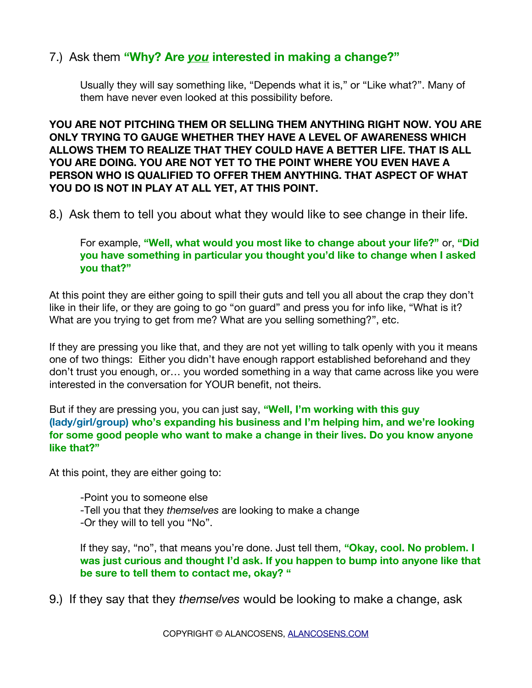## 7.) Ask them **"Why? Are** *you* **interested in making a change?"**

Usually they will say something like, "Depends what it is," or "Like what?". Many of them have never even looked at this possibility before.

**YOU ARE NOT PITCHING THEM OR SELLING THEM ANYTHING RIGHT NOW. YOU ARE ONLY TRYING TO GAUGE WHETHER THEY HAVE A LEVEL OF AWARENESS WHICH ALLOWS THEM TO REALIZE THAT THEY COULD HAVE A BETTER LIFE. THAT IS ALL YOU ARE DOING. YOU ARE NOT YET TO THE POINT WHERE YOU EVEN HAVE A PERSON WHO IS QUALIFIED TO OFFER THEM ANYTHING. THAT ASPECT OF WHAT YOU DO IS NOT IN PLAY AT ALL YET, AT THIS POINT.**

8.) Ask them to tell you about what they would like to see change in their life.

For example, **"Well, what would you most like to change about your life?"** or, **"Did you have something in particular you thought you'd like to change when I asked you that?"**

At this point they are either going to spill their guts and tell you all about the crap they don't like in their life, or they are going to go "on guard" and press you for info like, "What is it? What are you trying to get from me? What are you selling something?", etc.

If they are pressing you like that, and they are not yet willing to talk openly with you it means one of two things: Either you didn't have enough rapport established beforehand and they don't trust you enough, or… you worded something in a way that came across like you were interested in the conversation for YOUR beneft, not theirs.

But if they are pressing you, you can just say, **"Well, I'm working with this guy (lady/girl/group) who's expanding his business and I'm helping him, and we're looking for some good people who want to make a change in their lives. Do you know anyone like that?"**

At this point, they are either going to:

-Point you to someone else -Tell you that they *themselves* are looking to make a change -Or they will to tell you "No".

If they say, "no", that means you're done. Just tell them, **"Okay, cool. No problem. I was just curious and thought I'd ask. If you happen to bump into anyone like that be sure to tell them to contact me, okay? "**

9.) If they say that they *themselves* would be looking to make a change, ask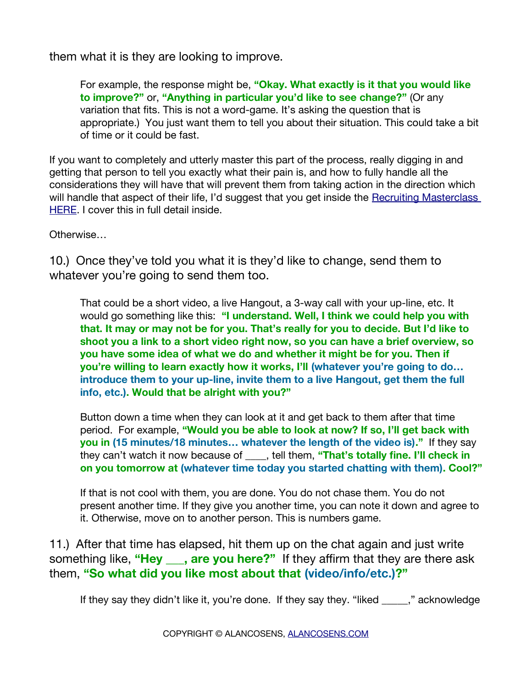them what it is they are looking to improve.

For example, the response might be, **"Okay. What exactly is it that you would like to improve?"** or, **"Anything in particular you'd like to see change?"** (Or any variation that fits. This is not a word-game. It's asking the question that is appropriate.) You just want them to tell you about their situation. This could take a bit of time or it could be fast.

If you want to completely and utterly master this part of the process, really digging in and getting that person to tell you exactly what their pain is, and how to fully handle all the considerations they will have that will prevent them from taking action in the direction which will handle that aspect of their life, I'd suggest that you get inside the Recruiting Masterclass [HERE.](https://www.recruitingmasteryclass.com/) I cover this in full detail inside.

Otherwise…

10.) Once they've told you what it is they'd like to change, send them to whatever you're going to send them too.

That could be a short video, a live Hangout, a 3-way call with your up-line, etc. It would go something like this: **"I understand. Well, I think we could help you with that. It may or may not be for you. That's really for you to decide. But I'd like to shoot you a link to a short video right now, so you can have a brief overview, so you have some idea of what we do and whether it might be for you. Then if you're willing to learn exactly how it works, I'll (whatever you're going to do… introduce them to your up-line, invite them to a live Hangout, get them the full info, etc.). Would that be alright with you?"**

Button down a time when they can look at it and get back to them after that time period. For example, **"Would you be able to look at now? If so, I'll get back with you in (15 minutes/18 minutes… whatever the length of the video is)."** If they say they can't watch it now because of **constant in them, "That's totally fine. I'll check in on you tomorrow at (whatever time today you started chatting with them). Cool?"**

If that is not cool with them, you are done. You do not chase them. You do not present another time. If they give you another time, you can note it down and agree to it. Otherwise, move on to another person. This is numbers game.

11.) After that time has elapsed, hit them up on the chat again and just write something like, "Hey \_\_\_, are you here?" If they affirm that they are there ask them, **"So what did you like most about that (video/info/etc.)?"**

If they say they didn't like it, you're done. If they say they. "liked \_\_\_\_," acknowledge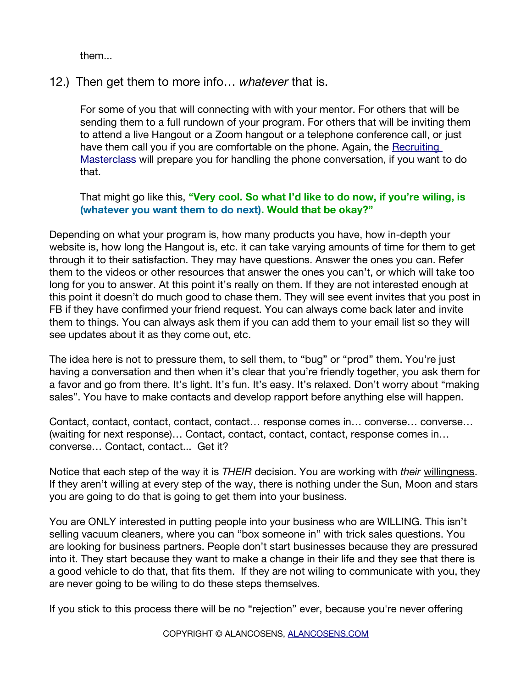them...

### 12.) Then get them to more info… *whatever* that is.

For some of you that will connecting with with your mentor. For others that will be sending them to a full rundown of your program. For others that will be inviting them to attend a live Hangout or a Zoom hangout or a telephone conference call, or just have them call you if you are comfortable on the phone. Again, the Recruiting [Masterclass](https://www.recruitingmasteryclass.com/) will prepare you for handling the phone conversation, if you want to do that.

#### That might go like this, **"Very cool. So what I'd like to do now, if you're wiling, is (whatever you want them to do next). Would that be okay?"**

Depending on what your program is, how many products you have, how in-depth your website is, how long the Hangout is, etc. it can take varying amounts of time for them to get through it to their satisfaction. They may have questions. Answer the ones you can. Refer them to the videos or other resources that answer the ones you can't, or which will take too long for you to answer. At this point it's really on them. If they are not interested enough at this point it doesn't do much good to chase them. They will see event invites that you post in FB if they have confirmed your friend request. You can always come back later and invite them to things. You can always ask them if you can add them to your email list so they will see updates about it as they come out, etc.

The idea here is not to pressure them, to sell them, to "bug" or "prod" them. You're just having a conversation and then when it's clear that you're friendly together, you ask them for a favor and go from there. It's light. It's fun. It's easy. It's relaxed. Don't worry about "making sales". You have to make contacts and develop rapport before anything else will happen.

Contact, contact, contact, contact, contact… response comes in… converse… converse… (waiting for next response)… Contact, contact, contact, contact, response comes in… converse… Contact, contact... Get it?

Notice that each step of the way it is *THEIR* decision. You are working with *their* willingness. If they aren't willing at every step of the way, there is nothing under the Sun, Moon and stars you are going to do that is going to get them into your business.

You are ONLY interested in putting people into your business who are WILLING. This isn't selling vacuum cleaners, where you can "box someone in" with trick sales questions. You are looking for business partners. People don't start businesses because they are pressured into it. They start because they want to make a change in their life and they see that there is a good vehicle to do that, that fits them. If they are not wiling to communicate with you, they are never going to be wiling to do these steps themselves.

If you stick to this process there will be no "rejection" ever, because you're never offering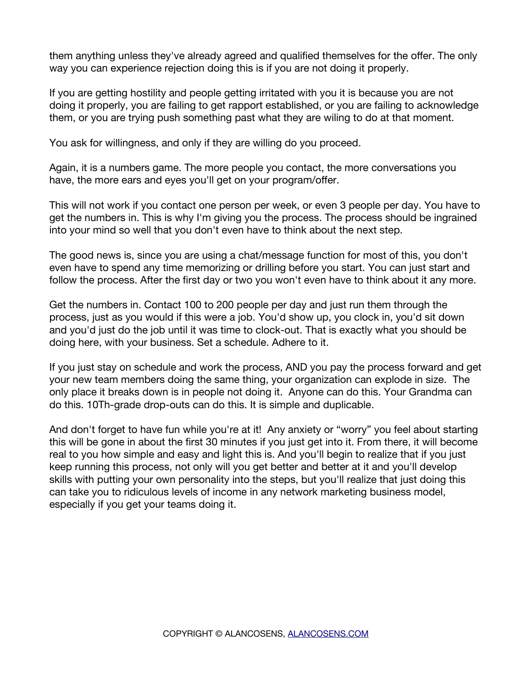them anything unless they've already agreed and qualified themselves for the offer. The only way you can experience rejection doing this is if you are not doing it properly.

If you are getting hostility and people getting irritated with you it is because you are not doing it properly, you are failing to get rapport established, or you are failing to acknowledge them, or you are trying push something past what they are wiling to do at that moment.

You ask for willingness, and only if they are willing do you proceed.

Again, it is a numbers game. The more people you contact, the more conversations you have, the more ears and eyes you'll get on your program/offer.

This will not work if you contact one person per week, or even 3 people per day. You have to get the numbers in. This is why I'm giving you the process. The process should be ingrained into your mind so well that you don't even have to think about the next step.

The good news is, since you are using a chat/message function for most of this, you don't even have to spend any time memorizing or drilling before you start. You can just start and follow the process. After the first day or two you won't even have to think about it any more.

Get the numbers in. Contact 100 to 200 people per day and just run them through the process, just as you would if this were a job. You'd show up, you clock in, you'd sit down and you'd just do the job until it was time to clock-out. That is exactly what you should be doing here, with your business. Set a schedule. Adhere to it.

If you just stay on schedule and work the process, AND you pay the process forward and get your new team members doing the same thing, your organization can explode in size. The only place it breaks down is in people not doing it. Anyone can do this. Your Grandma can do this. 10Th-grade drop-outs can do this. It is simple and duplicable.

And don't forget to have fun while you're at it! Any anxiety or "worry" you feel about starting this will be gone in about the frst 30 minutes if you just get into it. From there, it will become real to you how simple and easy and light this is. And you'll begin to realize that if you just keep running this process, not only will you get better and better at it and you'll develop skills with putting your own personality into the steps, but you'll realize that just doing this can take you to ridiculous levels of income in any network marketing business model, especially if you get your teams doing it.